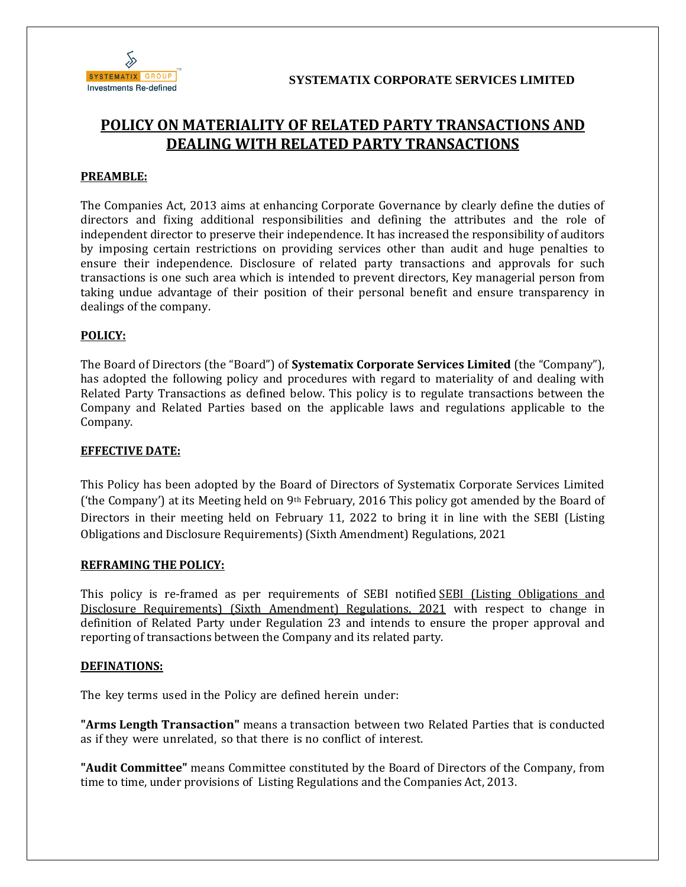

# **POLICY ON MATERIALITY OF RELATED PARTY TRANSACTIONS AND DEALING WITH RELATED PARTY TRANSACTIONS**

## **PREAMBLE:**

The Companies Act, 2013 aims at enhancing Corporate Governance by clearly define the duties of directors and fixing additional responsibilities and defining the attributes and the role of independent director to preserve their independence. It has increased the responsibility of auditors by imposing certain restrictions on providing services other than audit and huge penalties to ensure their independence. Disclosure of related party transactions and approvals for such transactions is one such area which is intended to prevent directors, Key managerial person from taking undue advantage of their position of their personal benefit and ensure transparency in dealings of the company.

## **POLICY:**

The Board of Directors (the "Board") of **Systematix Corporate Services Limited** (the "Company"), has adopted the following policy and procedures with regard to materiality of and dealing with Related Party Transactions as defined below. This policy is to regulate transactions between the Company and Related Parties based on the applicable laws and regulations applicable to the Company.

#### **EFFECTIVE DATE:**

This Policy has been adopted by the Board of Directors of Systematix Corporate Services Limited ('the Company') at its Meeting held on 9<sup>th</sup> February, 2016 This policy got amended by the Board of Directors in their meeting held on February 11, 2022 to bring it in line with the SEBI (Listing Obligations and Disclosure Requirements) (Sixth Amendment) Regulations, 2021

## **REFRAMING THE POLICY:**

This policy is re-framed as per requirements of SEBI notified SEBI (Listing Obligations and Disclosure Requirements) (Sixth Amendment) Regulations, 2021 with respect to change in definition of Related Party under Regulation 23 and intends to ensure the proper approval and reporting of transactions between the Company and its related party.

## **DEFINATIONS:**

The key terms used in the Policy are defined herein under:

**"Arms Length Transaction"** means a transaction between two Related Parties that is conducted as if they were unrelated, so that there is no conflict of interest.

**"Audit Committee"** means Committee constituted by the Board of Directors of the Company, from time to time, under provisions of Listing Regulations and the Companies Act, 2013.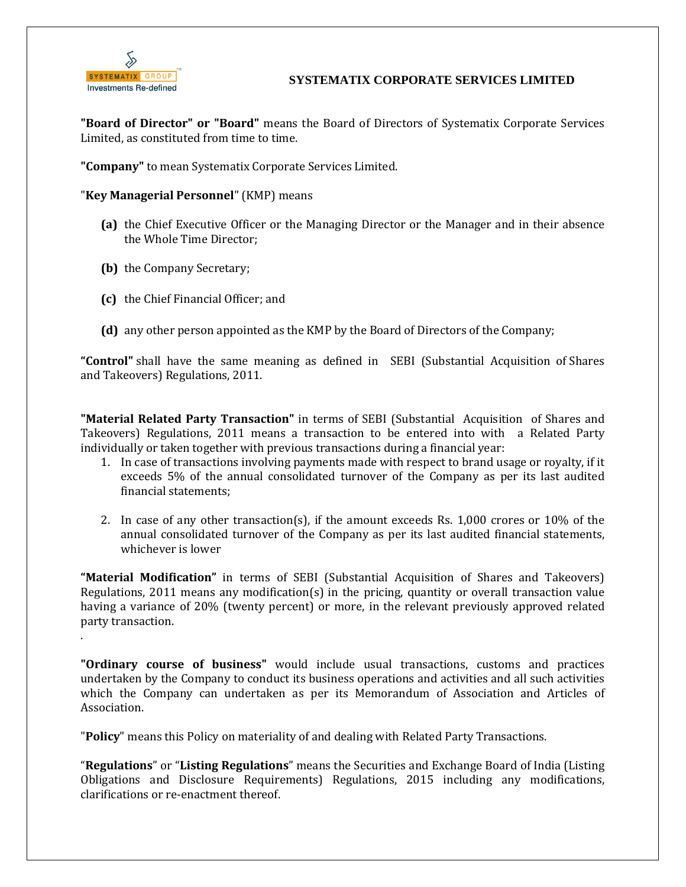

.

# **SYSTEMATIX CORPORATE SERVICES LIMITED**

**"Board of Director" or "Board"** means the Board of Directors of Systematix Corporate Services Limited, as constituted from time to time.

**"Company"** to mean Systematix Corporate Services Limited.

"**Key Managerial Personnel**" (KMP) means

- **(a)** the Chief Executive Officer or the Managing Director or the Manager and in their absence the Whole Time Director;
- **(b)** the Company Secretary;
- **(c)** the Chief Financial Officer; and
- **(d)** any other person appointed as the KMP by the Board of Directors of the Company;

**"Control"** shall have the same meaning as defined in SEBI (Substantial Acquisition of Shares and Takeovers) Regulations, 2011.

**"Material Related Party Transaction"** in terms of SEBI (Substantial Acquisition of Shares and Takeovers) Regulations, 2011 means a transaction to be entered into with a Related Party individually or taken together with previous transactions during a financial year:

- 1. In case of transactions involving payments made with respect to brand usage or royalty, if it exceeds 5% of the annual consolidated turnover of the Company as per its last audited financial statements;
- 2. In case of any other transaction(s), if the amount exceeds Rs. 1,000 crores or 10% of the annual consolidated turnover of the Company as per its last audited financial statements, whichever is lower

**"Material Modification"** in terms of SEBI (Substantial Acquisition of Shares and Takeovers) Regulations, 2011 means any modification(s) in the pricing, quantity or overall transaction value having a variance of 20% (twenty percent) or more, in the relevant previously approved related party transaction.

**"Ordinary course of business"** would include usual transactions, customs and practices undertaken by the Company to conduct its business operations and activities and all such activities which the Company can undertaken as per its Memorandum of Association and Articles of Association.

"**Policy**" means this Policy on materiality of and dealing with Related Party Transactions.

"**Regulations**" or "**Listing Regulations**" means the Securities and Exchange Board of India (Listing Obligations and Disclosure Requirements) Regulations, 2015 including any modifications, clarifications or re-enactment thereof.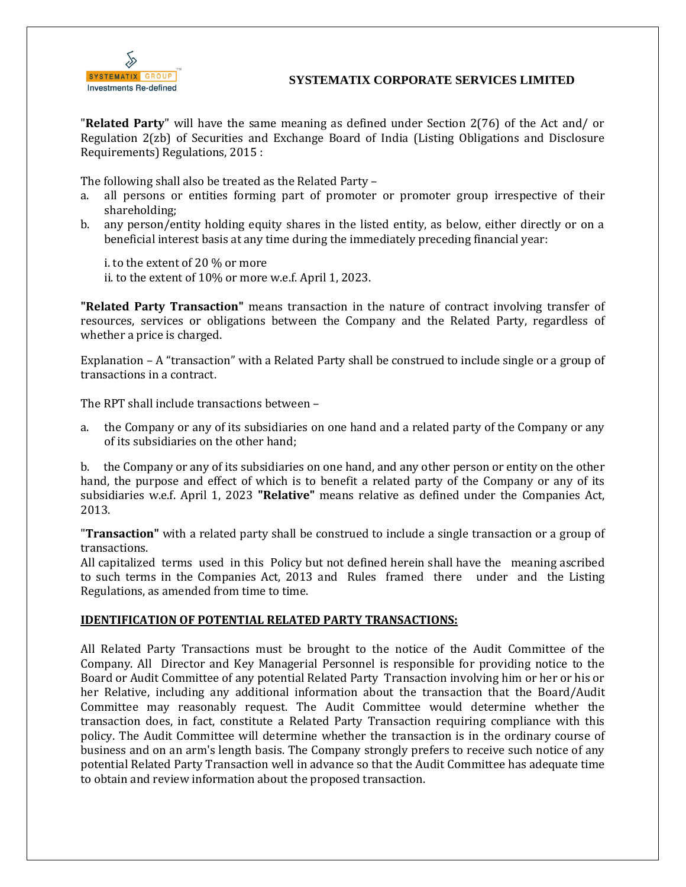

## **SYSTEMATIX CORPORATE SERVICES LIMITED**

"**Related Party**" will have the same meaning as defined under Section 2(76) of the Act and/ or Regulation 2(zb) of Securities and Exchange Board of India (Listing Obligations and Disclosure Requirements) Regulations, 2015 :

The following shall also be treated as the Related Party –

- a. all persons or entities forming part of promoter or promoter group irrespective of their shareholding;
- b. any person/entity holding equity shares in the listed entity, as below, either directly or on a beneficial interest basis at any time during the immediately preceding financial year:

i. to the extent of 20 % or more

ii. to the extent of 10% or more w.e.f. April 1, 2023.

**"Related Party Transaction"** means transaction in the nature of contract involving transfer of resources, services or obligations between the Company and the Related Party, regardless of whether a price is charged.

Explanation – A "transaction" with a Related Party shall be construed to include single or a group of transactions in a contract.

The RPT shall include transactions between –

a. the Company or any of its subsidiaries on one hand and a related party of the Company or any of its subsidiaries on the other hand;

b. the Company or any of its subsidiaries on one hand, and any other person or entity on the other hand, the purpose and effect of which is to benefit a related party of the Company or any of its subsidiaries w.e.f. April 1, 2023 **"Relative"** means relative as defined under the Companies Act, 2013.

"**Transaction"** with a related party shall be construed to include a single transaction or a group of transactions.

All capitalized terms used in this Policy but not defined herein shall have the meaning ascribed to such terms in the Companies Act, 2013 and Rules framed there under and the Listing Regulations, as amended from time to time.

## **IDENTIFICATION OF POTENTIAL RELATED PARTY TRANSACTIONS:**

All Related Party Transactions must be brought to the notice of the Audit Committee of the Company. All Director and Key Managerial Personnel is responsible for providing notice to the Board or Audit Committee of any potential Related Party Transaction involving him or her or his or her Relative, including any additional information about the transaction that the Board/Audit Committee may reasonably request. The Audit Committee would determine whether the transaction does, in fact, constitute a Related Party Transaction requiring compliance with this policy. The Audit Committee will determine whether the transaction is in the ordinary course of business and on an arm's length basis. The Company strongly prefers to receive such notice of any potential Related Party Transaction well in advance so that the Audit Committee has adequate time to obtain and review information about the proposed transaction.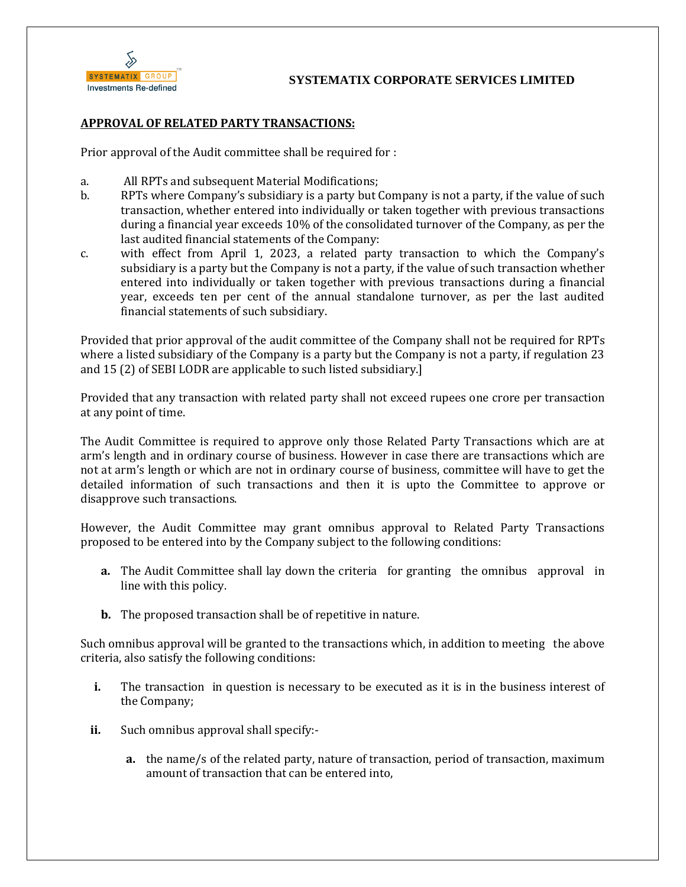

## **APPROVAL OF RELATED PARTY TRANSACTIONS:**

Prior approval of the Audit committee shall be required for :

- a. All RPTs and subsequent Material Modifications;
- b. RPTs where Company's subsidiary is a party but Company is not a party, if the value of such transaction, whether entered into individually or taken together with previous transactions during a financial year exceeds 10% of the consolidated turnover of the Company, as per the last audited financial statements of the Company:
- c. with effect from April 1, 2023, a related party transaction to which the Company's subsidiary is a party but the Company is not a party, if the value of such transaction whether entered into individually or taken together with previous transactions during a financial year, exceeds ten per cent of the annual standalone turnover, as per the last audited financial statements of such subsidiary.

Provided that prior approval of the audit committee of the Company shall not be required for RPTs where a listed subsidiary of the Company is a party but the Company is not a party, if regulation 23 and 15 (2) of SEBI LODR are applicable to such listed subsidiary.]

Provided that any transaction with related party shall not exceed rupees one crore per transaction at any point of time.

The Audit Committee is required to approve only those Related Party Transactions which are at arm's length and in ordinary course of business. However in case there are transactions which are not at arm's length or which are not in ordinary course of business, committee will have to get the detailed information of such transactions and then it is upto the Committee to approve or disapprove such transactions.

However, the Audit Committee may grant omnibus approval to Related Party Transactions proposed to be entered into by the Company subject to the following conditions:

- **a.** The Audit Committee shall lay down the criteria for granting the omnibus approval in line with this policy.
- **b.** The proposed transaction shall be of repetitive in nature.

Such omnibus approval will be granted to the transactions which, in addition to meeting the above criteria, also satisfy the following conditions:

- **i.** The transaction in question is necessary to be executed as it is in the business interest of the Company;
- **ii.** Such omnibus approval shall specify:
	- **a.** the name/s of the related party, nature of transaction, period of transaction, maximum amount of transaction that can be entered into,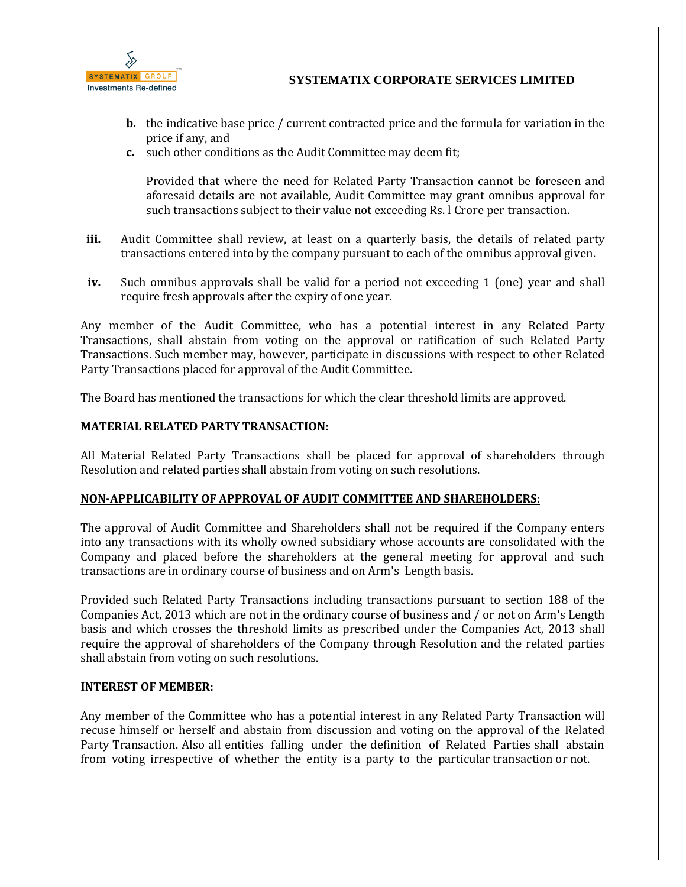

- **b.** the indicative base price / current contracted price and the formula for variation in the price if any, and
- **c.** such other conditions as the Audit Committee may deem fit;

Provided that where the need for Related Party Transaction cannot be foreseen and aforesaid details are not available, Audit Committee may grant omnibus approval for such transactions subject to their value not exceeding Rs. l Crore per transaction.

- **iii.** Audit Committee shall review, at least on a quarterly basis, the details of related party transactions entered into by the company pursuant to each of the omnibus approval given.
- **iv.** Such omnibus approvals shall be valid for a period not exceeding 1 (one) year and shall require fresh approvals after the expiry of one year.

Any member of the Audit Committee, who has a potential interest in any Related Party Transactions, shall abstain from voting on the approval or ratification of such Related Party Transactions. Such member may, however, participate in discussions with respect to other Related Party Transactions placed for approval of the Audit Committee.

The Board has mentioned the transactions for which the clear threshold limits are approved.

## **MATERIAL RELATED PARTY TRANSACTION:**

All Material Related Party Transactions shall be placed for approval of shareholders through Resolution and related parties shall abstain from voting on such resolutions.

## **NON-APPLICABILITY OF APPROVAL OF AUDIT COMMITTEE AND SHAREHOLDERS:**

The approval of Audit Committee and Shareholders shall not be required if the Company enters into any transactions with its wholly owned subsidiary whose accounts are consolidated with the Company and placed before the shareholders at the general meeting for approval and such transactions are in ordinary course of business and on Arm's Length basis.

Provided such Related Party Transactions including transactions pursuant to section 188 of the Companies Act, 2013 which are not in the ordinary course of business and / or not on Arm's Length basis and which crosses the threshold limits as prescribed under the Companies Act, 2013 shall require the approval of shareholders of the Company through Resolution and the related parties shall abstain from voting on such resolutions.

## **INTEREST OF MEMBER:**

Any member of the Committee who has a potential interest in any Related Party Transaction will recuse himself or herself and abstain from discussion and voting on the approval of the Related Party Transaction. Also all entities falling under the definition of Related Parties shall abstain from voting irrespective of whether the entity is a party to the particular transaction or not.